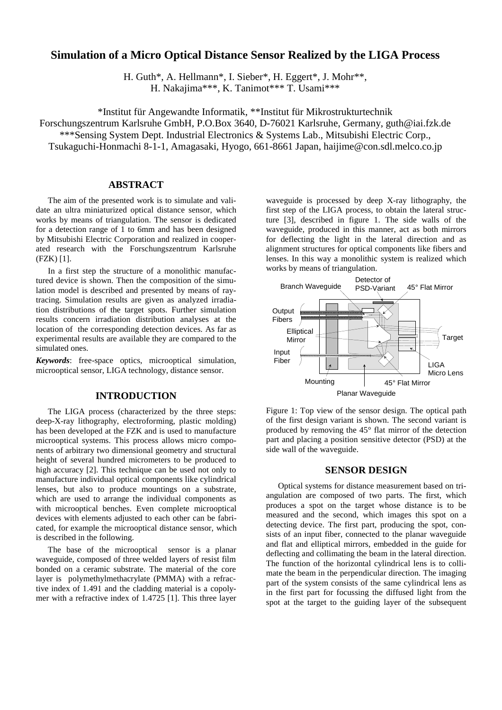# **Simulation of a Micro Optical Distance Sensor Realized by the LIGA Process**

H. Guth\*, A. Hellmann\*, I. Sieber\*, H. Eggert\*, J. Mohr\*\*, H. Nakajima\*\*\*, K. Tanimot\*\*\* T. Usami\*\*\*

\*Institut für Angewandte Informatik, \*\*Institut für Mikrostrukturtechnik

Forschungszentrum Karlsruhe GmbH, P.O.Box 3640, D-76021 Karlsruhe, Germany, guth@iai.fzk.de

\*\*\*Sensing System Dept. Industrial Electronics & Systems Lab., Mitsubishi Electric Corp.,

Tsukaguchi-Honmachi 8-1-1, Amagasaki, Hyogo, 661-8661 Japan, haijime@con.sdl.melco.co.jp

# **ABSTRACT**

The aim of the presented work is to simulate and validate an ultra miniaturized optical distance sensor, which works by means of triangulation. The sensor is dedicated for a detection range of 1 to 6mm and has been designed by Mitsubishi Electric Corporation and realized in cooperated research with the Forschungszentrum Karlsruhe (FZK) [1].

In a first step the structure of a monolithic manufactured device is shown. Then the composition of the simulation model is described and presented by means of raytracing. Simulation results are given as analyzed irradiation distributions of the target spots. Further simulation results concern irradiation distribution analyses at the location of the corresponding detection devices. As far as experimental results are available they are compared to the simulated ones.

*Keywords*: free-space optics, microoptical simulation, microoptical sensor, LIGA technology, distance sensor.

### **INTRODUCTION**

The LIGA process (characterized by the three steps: deep-X-ray lithography, electroforming, plastic molding) has been developed at the FZK and is used to manufacture microoptical systems. This process allows micro components of arbitrary two dimensional geometry and structural height of several hundred micrometers to be produced to high accuracy [2]. This technique can be used not only to manufacture individual optical components like cylindrical lenses, but also to produce mountings on a substrate, which are used to arrange the individual components as with microoptical benches. Even complete microoptical devices with elements adjusted to each other can be fabricated, for example the microoptical distance sensor, which is described in the following.

The base of the microoptical sensor is a planar waveguide, composed of three welded layers of resist film bonded on a ceramic substrate. The material of the core layer is polymethylmethacrylate (PMMA) with a refractive index of 1.491 and the cladding material is a copolymer with a refractive index of 1.4725 [1]. This three layer

waveguide is processed by deep X-ray lithography, the first step of the LIGA process, to obtain the lateral structure [3], described in figure 1. The side walls of the waveguide, produced in this manner, act as both mirrors for deflecting the light in the lateral direction and as alignment structures for optical components like fibers and lenses. In this way a monolithic system is realized which works by means of triangulation.



Figure 1: Top view of the sensor design. The optical path of the first design variant is shown. The second variant is produced by removing the 45° flat mirror of the detection part and placing a position sensitive detector (PSD) at the side wall of the waveguide.

#### **SENSOR DESIGN**

Optical systems for distance measurement based on triangulation are composed of two parts. The first, which produces a spot on the target whose distance is to be measured and the second, which images this spot on a detecting device. The first part, producing the spot, consists of an input fiber, connected to the planar waveguide and flat and elliptical mirrors, embedded in the guide for deflecting and collimating the beam in the lateral direction. The function of the horizontal cylindrical lens is to collimate the beam in the perpendicular direction. The imaging part of the system consists of the same cylindrical lens as in the first part for focussing the diffused light from the spot at the target to the guiding layer of the subsequent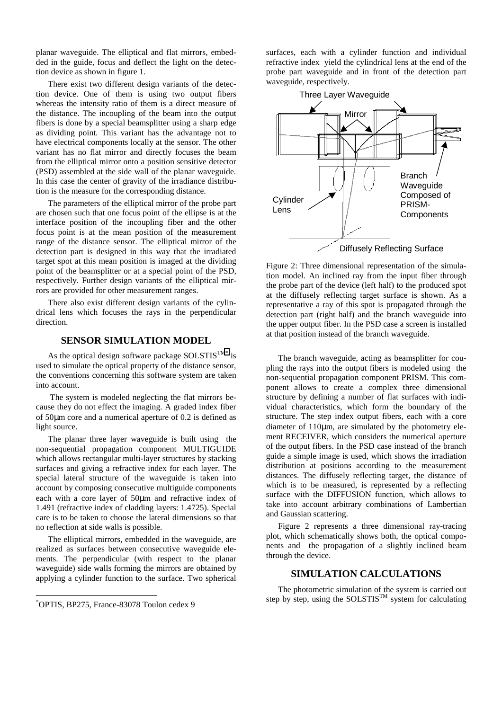planar waveguide. The elliptical and flat mirrors, embedded in the guide, focus and deflect the light on the detection device as shown in figure 1.

There exist two different design variants of the detection device. One of them is using two output fibers whereas the intensity ratio of them is a direct measure of the distance. The incoupling of the beam into the output fibers is done by a special beamsplitter using a sharp edge as dividing point. This variant has the advantage not to have electrical components locally at the sensor. The other variant has no flat mirror and directly focuses the beam from the elliptical mirror onto a position sensitive detector (PSD) assembled at the side wall of the planar waveguide. In this case the center of gravity of the irradiance distribution is the measure for the corresponding distance.

The parameters of the elliptical mirror of the probe part are chosen such that one focus point of the ellipse is at the interface position of the incoupling fiber and the other focus point is at the mean position of the measurement range of the distance sensor. The elliptical mirror of the detection part is designed in this way that the irradiated target spot at this mean position is imaged at the dividing point of the beamsplitter or at a special point of the PSD, respectively. Further design variants of the elliptical mirrors are provided for other measurement ranges.

There also exist different design variants of the cylindrical lens which focuses the rays in the perpendicular direction.

# **SENSOR SIMULATION MODEL**

As the optical design software package SOLSTIS<sup>TM\*</sup> is used to simulate the optical property of the distance sensor, the conventions concerning this software system are taken into account.

 The system is modeled neglecting the flat mirrors because they do not effect the imaging. A graded index fiber of 50µm core and a numerical aperture of 0.2 is defined as light source.

The planar three layer waveguide is built using the non-sequential propagation component MULTIGUIDE which allows rectangular multi-layer structures by stacking surfaces and giving a refractive index for each layer. The special lateral structure of the waveguide is taken into account by composing consecutive multiguide components each with a core layer of 50µm and refractive index of 1.491 (refractive index of cladding layers: 1.4725). Special care is to be taken to choose the lateral dimensions so that no reflection at side walls is possible.

The elliptical mirrors, embedded in the waveguide, are realized as surfaces between consecutive waveguide elements. The perpendicular (with respect to the planar waveguide) side walls forming the mirrors are obtained by applying a cylinder function to the surface. Two spherical

1

surfaces, each with a cylinder function and individual refractive index yield the cylindrical lens at the end of the probe part waveguide and in front of the detection part waveguide, respectively.



Figure 2: Three dimensional representation of the simulation model. An inclined ray from the input fiber through the probe part of the device (left half) to the produced spot at the diffusely reflecting target surface is shown. As a representative a ray of this spot is propagated through the detection part (right half) and the branch waveguide into the upper output fiber. In the PSD case a screen is installed at that position instead of the branch waveguide.

The branch waveguide, acting as beamsplitter for coupling the rays into the output fibers is modeled using the non-sequential propagation component PRISM. This component allows to create a complex three dimensional structure by defining a number of flat surfaces with individual characteristics, which form the boundary of the structure. The step index output fibers, each with a core diameter of 110µm, are simulated by the photometry element RECEIVER, which considers the numerical aperture of the output fibers. In the PSD case instead of the branch guide a simple image is used, which shows the irradiation distribution at positions according to the measurement distances. The diffusely reflecting target, the distance of which is to be measured, is represented by a reflecting surface with the DIFFUSION function, which allows to take into account arbitrary combinations of Lambertian and Gaussian scattering.

Figure 2 represents a three dimensional ray-tracing plot, which schematically shows both, the optical components and the propagation of a slightly inclined beam through the device.

#### **SIMULATION CALCULATIONS**

The photometric simulation of the system is carried out step by step, using the SOLSTIS<sup>TM</sup> system for calculating

<sup>\*</sup> OPTIS, BP275, France-83078 Toulon cedex 9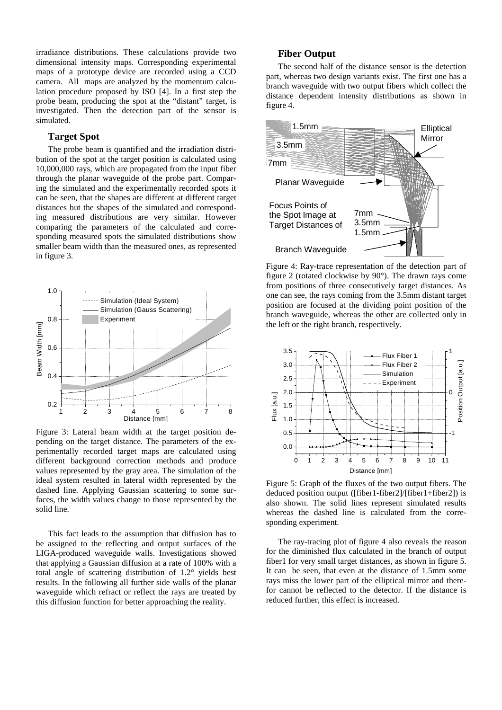irradiance distributions. These calculations provide two dimensional intensity maps. Corresponding experimental maps of a prototype device are recorded using a CCD camera. All maps are analyzed by the momentum calculation procedure proposed by ISO [4]. In a first step the probe beam, producing the spot at the "distant" target, is investigated. Then the detection part of the sensor is simulated.

#### **Target Spot**

The probe beam is quantified and the irradiation distribution of the spot at the target position is calculated using 10,000,000 rays, which are propagated from the input fiber through the planar waveguide of the probe part. Comparing the simulated and the experimentally recorded spots it can be seen, that the shapes are different at different target distances but the shapes of the simulated and corresponding measured distributions are very similar. However comparing the parameters of the calculated and corresponding measured spots the simulated distributions show smaller beam width than the measured ones, as represented in figure 3.



Figure 3: Lateral beam width at the target position depending on the target distance. The parameters of the experimentally recorded target maps are calculated using different background correction methods and produce values represented by the gray area. The simulation of the ideal system resulted in lateral width represented by the dashed line. Applying Gaussian scattering to some surfaces, the width values change to those represented by the solid line.

This fact leads to the assumption that diffusion has to be assigned to the reflecting and output surfaces of the LIGA-produced waveguide walls. Investigations showed that applying a Gaussian diffusion at a rate of 100% with a total angle of scattering distribution of 1.2° yields best results. In the following all further side walls of the planar waveguide which refract or reflect the rays are treated by this diffusion function for better approaching the reality.

# **Fiber Output**

The second half of the distance sensor is the detection part, whereas two design variants exist. The first one has a branch waveguide with two output fibers which collect the distance dependent intensity distributions as shown in figure 4.



Figure 4: Ray-trace representation of the detection part of figure 2 (rotated clockwise by 90°). The drawn rays come from positions of three consecutively target distances. As one can see, the rays coming from the 3.5mm distant target position are focused at the dividing point position of the branch waveguide, whereas the other are collected only in the left or the right branch, respectively.



Figure 5: Graph of the fluxes of the two output fibers. The deduced position output ([fiber1-fiber2]/[fiber1+fiber2]) is also shown. The solid lines represent simulated results whereas the dashed line is calculated from the corresponding experiment.

The ray-tracing plot of figure 4 also reveals the reason for the diminished flux calculated in the branch of output fiber1 for very small target distances, as shown in figure 5. It can be seen, that even at the distance of 1.5mm some rays miss the lower part of the elliptical mirror and therefor cannot be reflected to the detector. If the distance is reduced further, this effect is increased.